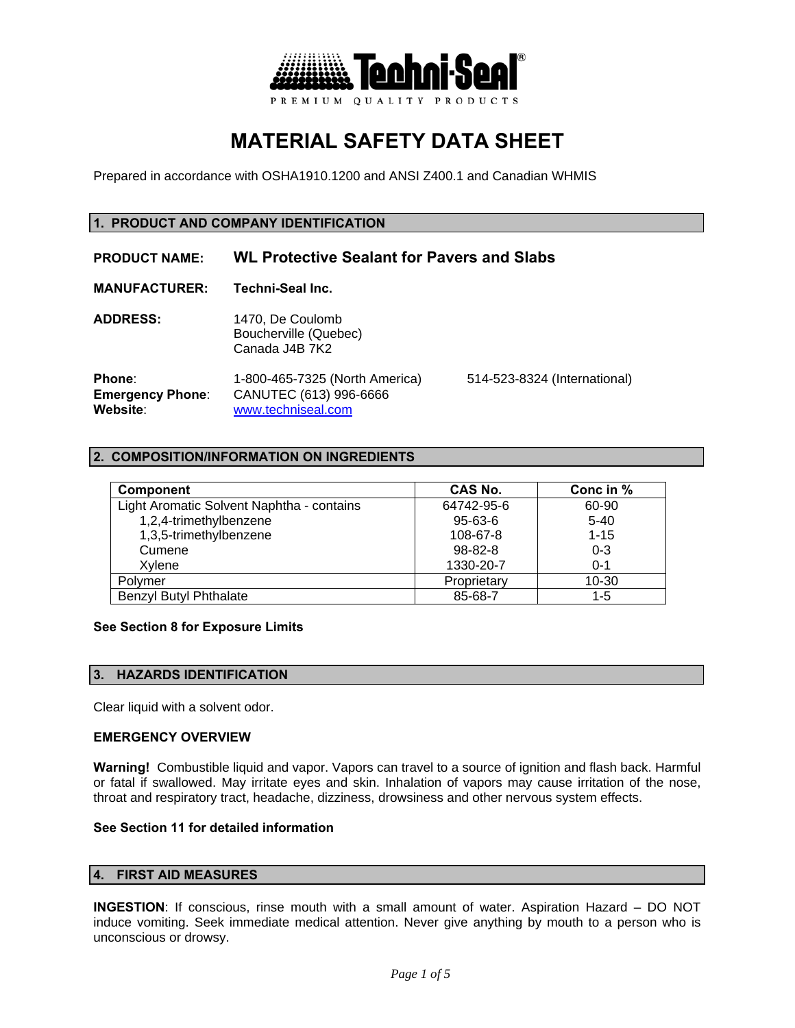

# **MATERIAL SAFETY DATA SHEET**

Prepared in accordance with OSHA1910.1200 and ANSI Z400.1 and Canadian WHMIS

## **1. PRODUCT AND COMPANY IDENTIFICATION**

**PRODUCT NAME: WL Protective Sealant for Pavers and Slabs** 

**MANUFACTURER: Techni-Seal Inc.**

**ADDRESS:** 1470, De Coulomb Boucherville (Quebec) Canada J4B 7K2

**Phone**: 1-800-465-7325 (North America) 514-523-8324 (International) **Emergency Phone**: CANUTEC (613) 996-6666 **Website**: www.techniseal.com

## **2. COMPOSITION/INFORMATION ON INGREDIENTS**

| Component                                 | CAS No.       | Conc in % |
|-------------------------------------------|---------------|-----------|
| Light Aromatic Solvent Naphtha - contains | 64742-95-6    | 60-90     |
| 1,2,4-trimethylbenzene                    | $95 - 63 - 6$ | $5 - 40$  |
| 1,3,5-trimethylbenzene                    | 108-67-8      | $1 - 15$  |
| Cumene                                    | $98 - 82 - 8$ | $0 - 3$   |
| Xvlene                                    | 1330-20-7     | $0 - 1$   |
| Polymer                                   | Proprietary   | $10 - 30$ |
| <b>Benzyl Butyl Phthalate</b>             | 85-68-7       | 1-5       |

## **See Section 8 for Exposure Limits**

#### **3. HAZARDS IDENTIFICATION**

Clear liquid with a solvent odor.

#### **EMERGENCY OVERVIEW**

**Warning!** Combustible liquid and vapor. Vapors can travel to a source of ignition and flash back. Harmful or fatal if swallowed. May irritate eyes and skin. Inhalation of vapors may cause irritation of the nose, throat and respiratory tract, headache, dizziness, drowsiness and other nervous system effects.

## **See Section 11 for detailed information**

## **4. FIRST AID MEASURES**

**INGESTION**: If conscious, rinse mouth with a small amount of water. Aspiration Hazard – DO NOT induce vomiting. Seek immediate medical attention. Never give anything by mouth to a person who is unconscious or drowsy.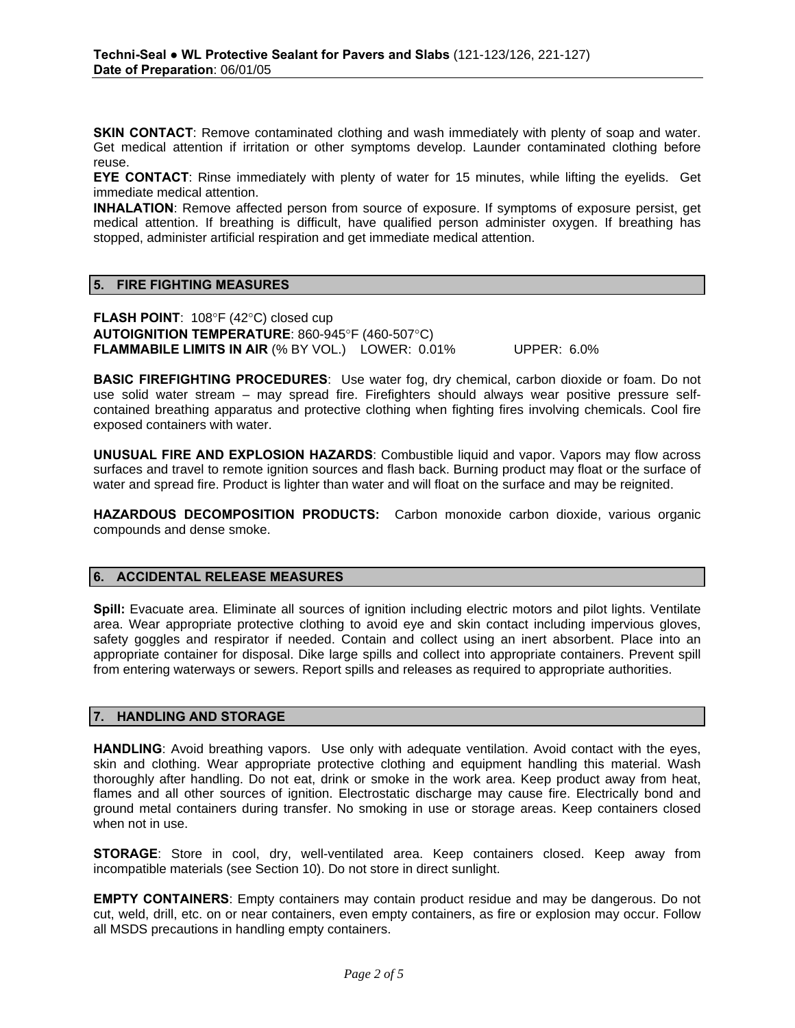**SKIN CONTACT:** Remove contaminated clothing and wash immediately with plenty of soap and water. Get medical attention if irritation or other symptoms develop. Launder contaminated clothing before reuse.

**EYE CONTACT**: Rinse immediately with plenty of water for 15 minutes, while lifting the eyelids. Get immediate medical attention.

**INHALATION**: Remove affected person from source of exposure. If symptoms of exposure persist, get medical attention. If breathing is difficult, have qualified person administer oxygen. If breathing has stopped, administer artificial respiration and get immediate medical attention.

## **5. FIRE FIGHTING MEASURES**

**FLASH POINT**: 108°F (42°C) closed cup **AUTOIGNITION TEMPERATURE**: 860-945°F (460-507°C) **FLAMMABILE LIMITS IN AIR** (% BY VOL.) LOWER: 0.01% UPPER: 6.0%

**BASIC FIREFIGHTING PROCEDURES**: Use water fog, dry chemical, carbon dioxide or foam. Do not use solid water stream – may spread fire. Firefighters should always wear positive pressure selfcontained breathing apparatus and protective clothing when fighting fires involving chemicals. Cool fire exposed containers with water.

**UNUSUAL FIRE AND EXPLOSION HAZARDS**: Combustible liquid and vapor. Vapors may flow across surfaces and travel to remote ignition sources and flash back. Burning product may float or the surface of water and spread fire. Product is lighter than water and will float on the surface and may be reignited.

**HAZARDOUS DECOMPOSITION PRODUCTS:** Carbon monoxide carbon dioxide, various organic compounds and dense smoke.

## **6. ACCIDENTAL RELEASE MEASURES**

**Spill:** Evacuate area. Eliminate all sources of ignition including electric motors and pilot lights. Ventilate area. Wear appropriate protective clothing to avoid eye and skin contact including impervious gloves, safety goggles and respirator if needed. Contain and collect using an inert absorbent. Place into an appropriate container for disposal. Dike large spills and collect into appropriate containers. Prevent spill from entering waterways or sewers. Report spills and releases as required to appropriate authorities.

# **7. HANDLING AND STORAGE**

**HANDLING**: Avoid breathing vapors. Use only with adequate ventilation. Avoid contact with the eyes, skin and clothing. Wear appropriate protective clothing and equipment handling this material. Wash thoroughly after handling. Do not eat, drink or smoke in the work area. Keep product away from heat, flames and all other sources of ignition. Electrostatic discharge may cause fire. Electrically bond and ground metal containers during transfer. No smoking in use or storage areas. Keep containers closed when not in use.

**STORAGE**: Store in cool, dry, well-ventilated area. Keep containers closed. Keep away from incompatible materials (see Section 10). Do not store in direct sunlight.

**EMPTY CONTAINERS**: Empty containers may contain product residue and may be dangerous. Do not cut, weld, drill, etc. on or near containers, even empty containers, as fire or explosion may occur. Follow all MSDS precautions in handling empty containers.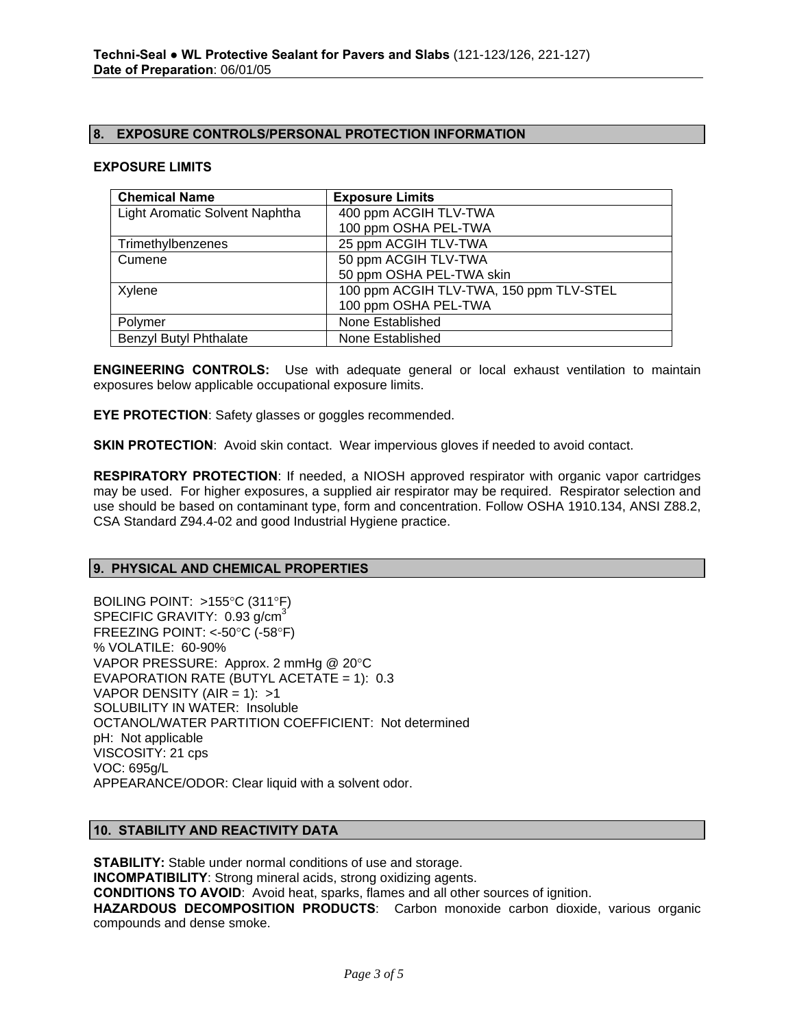## **8. EXPOSURE CONTROLS/PERSONAL PROTECTION INFORMATION**

#### **EXPOSURE LIMITS**

| <b>Chemical Name</b>           | <b>Exposure Limits</b>                  |
|--------------------------------|-----------------------------------------|
| Light Aromatic Solvent Naphtha | 400 ppm ACGIH TLV-TWA                   |
|                                | 100 ppm OSHA PEL-TWA                    |
| Trimethylbenzenes              | 25 ppm ACGIH TLV-TWA                    |
| Cumene                         | 50 ppm ACGIH TLV-TWA                    |
|                                | 50 ppm OSHA PEL-TWA skin                |
| Xylene                         | 100 ppm ACGIH TLV-TWA, 150 ppm TLV-STEL |
|                                | 100 ppm OSHA PEL-TWA                    |
| Polymer                        | None Established                        |
| <b>Benzyl Butyl Phthalate</b>  | None Established                        |

**ENGINEERING CONTROLS:** Use with adequate general or local exhaust ventilation to maintain exposures below applicable occupational exposure limits.

**EYE PROTECTION:** Safety glasses or goggles recommended.

**SKIN PROTECTION:** Avoid skin contact. Wear impervious gloves if needed to avoid contact.

**RESPIRATORY PROTECTION**: If needed, a NIOSH approved respirator with organic vapor cartridges may be used. For higher exposures, a supplied air respirator may be required. Respirator selection and use should be based on contaminant type, form and concentration. Follow OSHA 1910.134, ANSI Z88.2, CSA Standard Z94.4-02 and good Industrial Hygiene practice.

## **9. PHYSICAL AND CHEMICAL PROPERTIES**

BOILING POINT: >155°C (311°F) SPECIFIC GRAVITY: 0.93 g/cm<sup>3</sup> FREEZING POINT: <-50°C (-58°F) % VOLATILE: 60-90% VAPOR PRESSURE: Approx. 2 mmHg @ 20°C EVAPORATION RATE (BUTYL ACETATE = 1): 0.3 VAPOR DENSITY (AIR = 1):  $>1$ SOLUBILITY IN WATER: Insoluble OCTANOL/WATER PARTITION COEFFICIENT: Not determined pH: Not applicable VISCOSITY: 21 cps VOC: 695g/L APPEARANCE/ODOR: Clear liquid with a solvent odor.

# **10. STABILITY AND REACTIVITY DATA**

**STABILITY:** Stable under normal conditions of use and storage. **INCOMPATIBILITY**: Strong mineral acids, strong oxidizing agents. **CONDITIONS TO AVOID**: Avoid heat, sparks, flames and all other sources of ignition. **HAZARDOUS DECOMPOSITION PRODUCTS**: Carbon monoxide carbon dioxide, various organic compounds and dense smoke.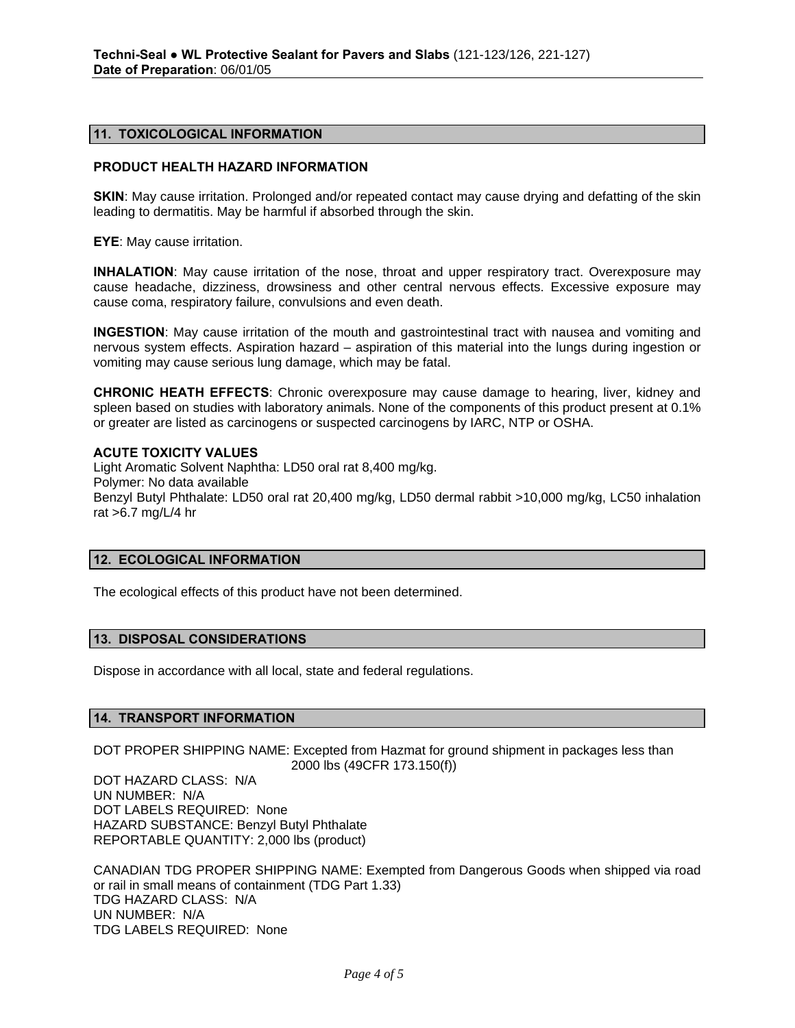## **11. TOXICOLOGICAL INFORMATION**

# **PRODUCT HEALTH HAZARD INFORMATION**

**SKIN:** May cause irritation. Prolonged and/or repeated contact may cause drying and defatting of the skin leading to dermatitis. May be harmful if absorbed through the skin.

**EYE**: May cause irritation.

**INHALATION**: May cause irritation of the nose, throat and upper respiratory tract. Overexposure may cause headache, dizziness, drowsiness and other central nervous effects. Excessive exposure may cause coma, respiratory failure, convulsions and even death.

**INGESTION**: May cause irritation of the mouth and gastrointestinal tract with nausea and vomiting and nervous system effects. Aspiration hazard – aspiration of this material into the lungs during ingestion or vomiting may cause serious lung damage, which may be fatal.

**CHRONIC HEATH EFFECTS**: Chronic overexposure may cause damage to hearing, liver, kidney and spleen based on studies with laboratory animals. None of the components of this product present at 0.1% or greater are listed as carcinogens or suspected carcinogens by IARC, NTP or OSHA.

#### **ACUTE TOXICITY VALUES**

Light Aromatic Solvent Naphtha: LD50 oral rat 8,400 mg/kg. Polymer: No data available Benzyl Butyl Phthalate: LD50 oral rat 20,400 mg/kg, LD50 dermal rabbit >10,000 mg/kg, LC50 inhalation rat >6.7 mg/L/4 hr

## **12. ECOLOGICAL INFORMATION**

The ecological effects of this product have not been determined.

## **13. DISPOSAL CONSIDERATIONS**

Dispose in accordance with all local, state and federal regulations.

#### **14. TRANSPORT INFORMATION**

DOT PROPER SHIPPING NAME: Excepted from Hazmat for ground shipment in packages less than 2000 lbs (49CFR 173.150(f))

DOT HAZARD CLASS: N/A UN NUMBER: N/A DOT LABELS REQUIRED: None HAZARD SUBSTANCE: Benzyl Butyl Phthalate REPORTABLE QUANTITY: 2,000 lbs (product)

CANADIAN TDG PROPER SHIPPING NAME: Exempted from Dangerous Goods when shipped via road or rail in small means of containment (TDG Part 1.33) TDG HAZARD CLASS: N/A UN NUMBER: N/A TDG LABELS REQUIRED: None